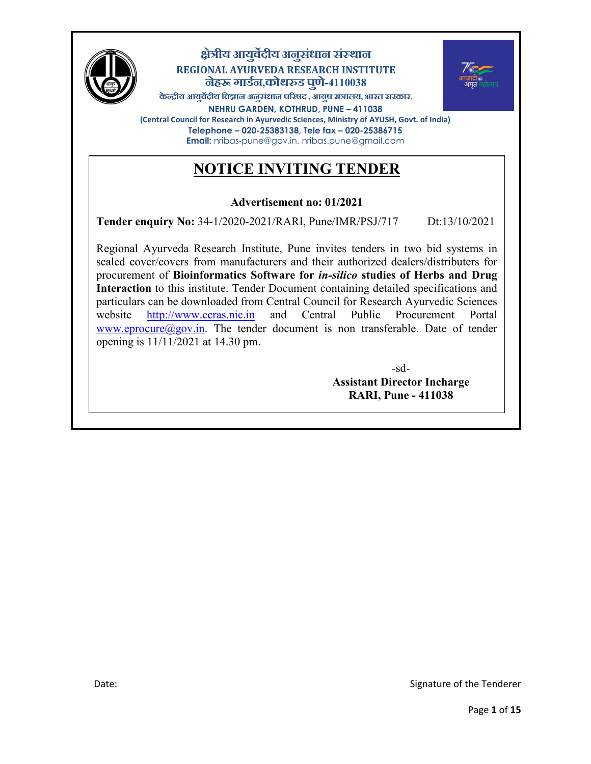

### **ीय आय े वुदीय अन संधान संथान ु REGIONAL AYURVEDA RESEARCH INSTITUTE नह गाड े न,कोथड पणु -4110038 े**



केन्द्रीय आयुर्वेदीय विज्ञान अनुसंधान परिषद , आयुष मंत्रालय, भारत सरकार. **NEHRU GARDEN, KOTHRUD, PUNE – 411038 (Central Council for Research in Ayurvedic Sciences, Ministry of AYUSH, Govt. of India) Telephone – 020-25383138, Tele fax – 020-25386715 Email:** nribas-pune@gov.in, nribas.pune@gmail.com

# **NOTICE INVITING TENDER**

### **Advertisement no: 01/2021**

**Tender enquiry No:** 34-1/2020-2021/RARI, Pune/IMR/PSJ/717 Dt:13/10/2021

Regional Ayurveda Research Institute, Pune invites tenders in two bid systems in sealed cover/covers from manufacturers and their authorized dealers/distributers for procurement of **Bioinformatics Software for** *in-silico* **studies of Herbs and Drug Interaction** to this institute. Tender Document containing detailed specifications and particulars can be downloaded from Central Council for Research Ayurvedic Sciences website http://www.ccras.nic.in and Central Public Procurement Portal www.eprocure@gov.in. The tender document is non transferable. Date of tender opening is 11/11/2021 at 14.30 pm.

> -sd-**Assistant Director Incharge RARI, Pune - 411038**

I

I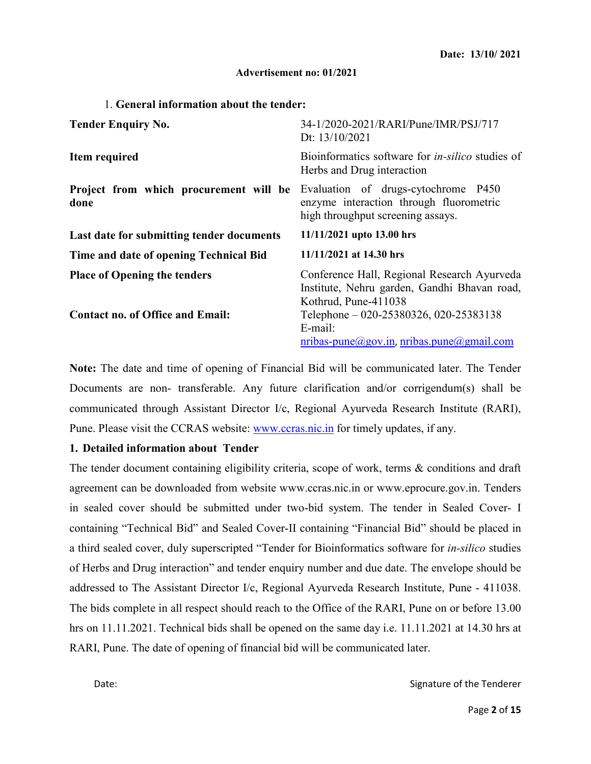#### **Advertisement no: 01/2021**

#### 1. **General information about the tender:**

| <b>Tender Enquiry No.</b>                                                      | 34-1/2020-2021/RARI/Pune/IMR/PSJ/717<br>Dt: 13/10/2021                                                                                                        |  |  |
|--------------------------------------------------------------------------------|---------------------------------------------------------------------------------------------------------------------------------------------------------------|--|--|
| Item required                                                                  | Bioinformatics software for <i>in-silico</i> studies of<br>Herbs and Drug interaction                                                                         |  |  |
| Project from which procurement will be<br>done                                 | Evaluation of drugs-cytochrome P450<br>enzyme interaction through fluorometric<br>high throughput screening assays.                                           |  |  |
| Last date for submitting tender documents                                      | 11/11/2021 upto 13.00 hrs                                                                                                                                     |  |  |
| Time and date of opening Technical Bid                                         | 11/11/2021 at 14.30 hrs                                                                                                                                       |  |  |
| <b>Place of Opening the tenders</b><br><b>Contact no. of Office and Email:</b> | Conference Hall, Regional Research Ayurveda<br>Institute, Nehru garden, Gandhi Bhavan road,<br>Kothrud, Pune-411038<br>Telephone - 020-25380326, 020-25383138 |  |  |
|                                                                                | E-mail:<br>$nribas-pune(Qgov.in, nribas.pune(Qgmail.com)$                                                                                                     |  |  |

**Note:** The date and time of opening of Financial Bid will be communicated later. The Tender Documents are non- transferable. Any future clarification and/or corrigendum(s) shall be communicated through Assistant Director I/c, Regional Ayurveda Research Institute (RARI), Pune. Please visit the CCRAS website: www.ccras.nic.in for timely updates, if any.

#### **1. Detailed information about Tender**

The tender document containing eligibility criteria, scope of work, terms & conditions and draft agreement can be downloaded from website www.ccras.nic.in or www.eprocure.gov.in. Tenders in sealed cover should be submitted under two-bid system. The tender in Sealed Cover- I containing "Technical Bid" and Sealed Cover-II containing "Financial Bid" should be placed in a third sealed cover, duly superscripted "Tender for Bioinformatics software for *in-silico* studies of Herbs and Drug interaction" and tender enquiry number and due date. The envelope should be addressed to The Assistant Director I/c, Regional Ayurveda Research Institute, Pune - 411038. The bids complete in all respect should reach to the Office of the RARI, Pune on or before 13.00 hrs on 11.11.2021. Technical bids shall be opened on the same day i.e. 11.11.2021 at 14.30 hrs at RARI, Pune. The date of opening of financial bid will be communicated later.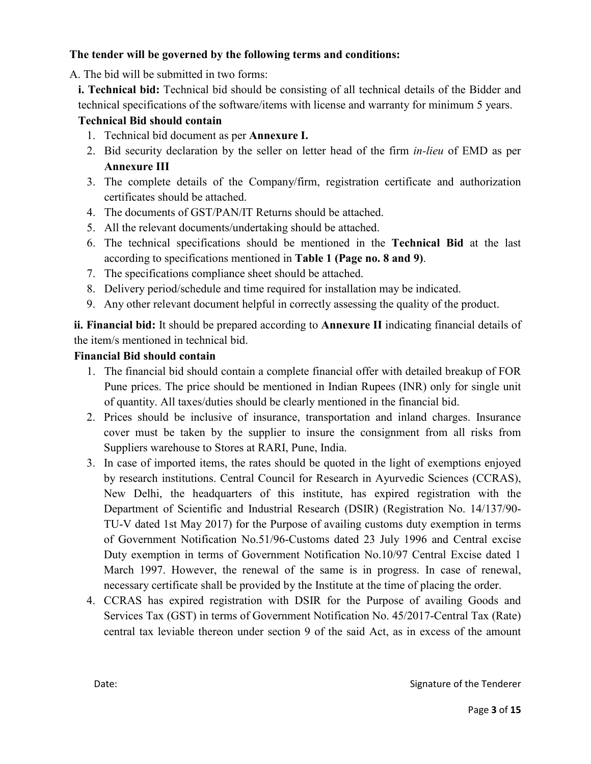#### **The tender will be governed by the following terms and conditions:**

A. The bid will be submitted in two forms:

**i. Technical bid:** Technical bid should be consisting of all technical details of the Bidder and technical specifications of the software/items with license and warranty for minimum 5 years.

#### **Technical Bid should contain**

- 1. Technical bid document as per **Annexure I.**
- 2. Bid security declaration by the seller on letter head of the firm *in-lieu* of EMD as per **Annexure III**
- 3. The complete details of the Company/firm, registration certificate and authorization certificates should be attached.
- 4. The documents of GST/PAN/IT Returns should be attached.
- 5. All the relevant documents/undertaking should be attached.
- 6. The technical specifications should be mentioned in the **Technical Bid** at the last according to specifications mentioned in **Table 1 (Page no. 8 and 9)**.
- 7. The specifications compliance sheet should be attached.
- 8. Delivery period/schedule and time required for installation may be indicated.
- 9. Any other relevant document helpful in correctly assessing the quality of the product.

**ii. Financial bid:** It should be prepared according to **Annexure II** indicating financial details of the item/s mentioned in technical bid.

#### **Financial Bid should contain**

- 1. The financial bid should contain a complete financial offer with detailed breakup of FOR Pune prices. The price should be mentioned in Indian Rupees (INR) only for single unit of quantity. All taxes/duties should be clearly mentioned in the financial bid.
- 2. Prices should be inclusive of insurance, transportation and inland charges. Insurance cover must be taken by the supplier to insure the consignment from all risks from Suppliers warehouse to Stores at RARI, Pune, India.
- 3. In case of imported items, the rates should be quoted in the light of exemptions enjoyed by research institutions. Central Council for Research in Ayurvedic Sciences (CCRAS), New Delhi, the headquarters of this institute, has expired registration with the Department of Scientific and Industrial Research (DSIR) (Registration No. 14/137/90- TU-V dated 1st May 2017) for the Purpose of availing customs duty exemption in terms of Government Notification No.51/96-Customs dated 23 July 1996 and Central excise Duty exemption in terms of Government Notification No.10/97 Central Excise dated 1 March 1997. However, the renewal of the same is in progress. In case of renewal, necessary certificate shall be provided by the Institute at the time of placing the order.
- 4. CCRAS has expired registration with DSIR for the Purpose of availing Goods and Services Tax (GST) in terms of Government Notification No. 45/2017-Central Tax (Rate) central tax leviable thereon under section 9 of the said Act, as in excess of the amount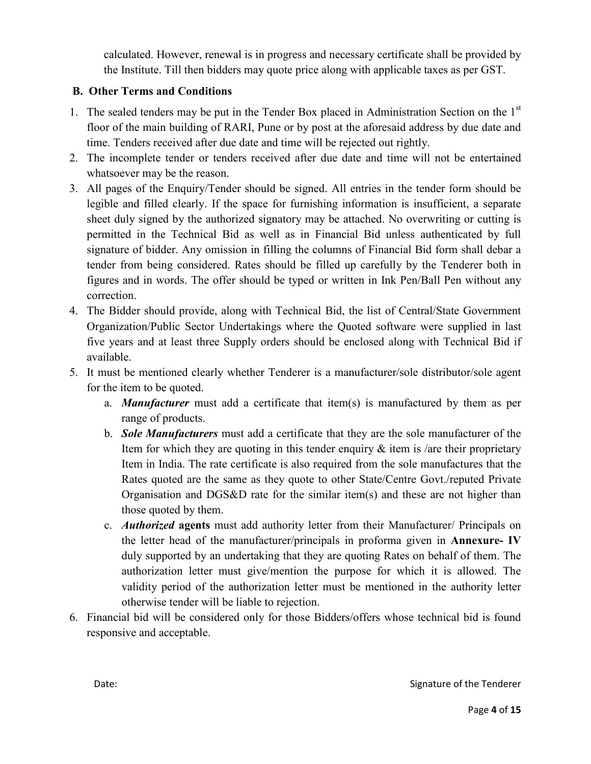calculated. However, renewal is in progress and necessary certificate shall be provided by the Institute. Till then bidders may quote price along with applicable taxes as per GST.

### **B. Other Terms and Conditions**

- 1. The sealed tenders may be put in the Tender Box placed in Administration Section on the 1<sup>st</sup> floor of the main building of RARI, Pune or by post at the aforesaid address by due date and time. Tenders received after due date and time will be rejected out rightly.
- 2. The incomplete tender or tenders received after due date and time will not be entertained whatsoever may be the reason.
- 3. All pages of the Enquiry/Tender should be signed. All entries in the tender form should be legible and filled clearly. If the space for furnishing information is insufficient, a separate sheet duly signed by the authorized signatory may be attached. No overwriting or cutting is permitted in the Technical Bid as well as in Financial Bid unless authenticated by full signature of bidder. Any omission in filling the columns of Financial Bid form shall debar a tender from being considered. Rates should be filled up carefully by the Tenderer both in figures and in words. The offer should be typed or written in Ink Pen/Ball Pen without any correction.
- 4. The Bidder should provide, along with Technical Bid, the list of Central/State Government Organization/Public Sector Undertakings where the Quoted software were supplied in last five years and at least three Supply orders should be enclosed along with Technical Bid if available.
- 5. It must be mentioned clearly whether Tenderer is a manufacturer/sole distributor/sole agent for the item to be quoted.
	- a. *Manufacturer* must add a certificate that item(s) is manufactured by them as per range of products.
	- b. *Sole Manufacturers* must add a certificate that they are the sole manufacturer of the Item for which they are quoting in this tender enquiry  $\&$  item is /are their proprietary Item in India. The rate certificate is also required from the sole manufactures that the Rates quoted are the same as they quote to other State/Centre Govt./reputed Private Organisation and DGS&D rate for the similar item(s) and these are not higher than those quoted by them.
	- c. *Authorized* **agents** must add authority letter from their Manufacturer/ Principals on the letter head of the manufacturer/principals in proforma given in **Annexure- IV** duly supported by an undertaking that they are quoting Rates on behalf of them. The authorization letter must give/mention the purpose for which it is allowed. The validity period of the authorization letter must be mentioned in the authority letter otherwise tender will be liable to rejection.
- 6. Financial bid will be considered only for those Bidders/offers whose technical bid is found responsive and acceptable.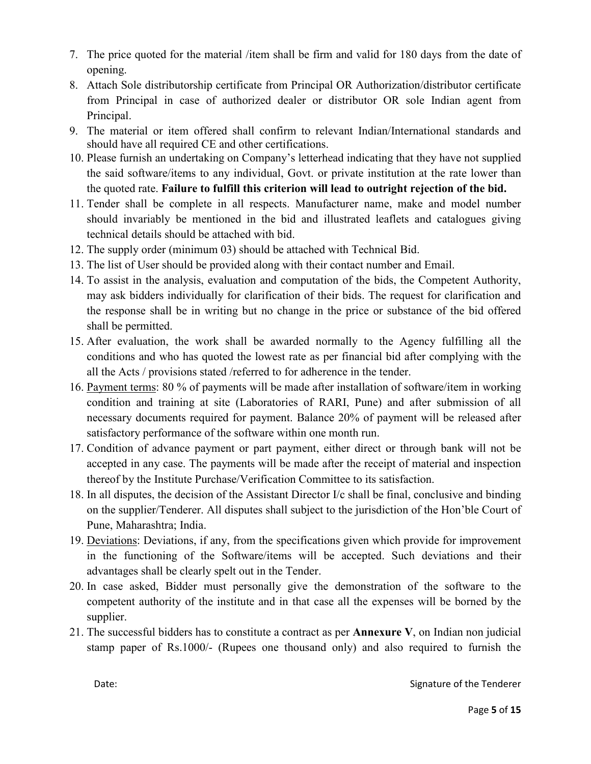- 7. The price quoted for the material /item shall be firm and valid for 180 days from the date of opening.
- 8. Attach Sole distributorship certificate from Principal OR Authorization/distributor certificate from Principal in case of authorized dealer or distributor OR sole Indian agent from Principal.
- 9. The material or item offered shall confirm to relevant Indian/International standards and should have all required CE and other certifications.
- 10. Please furnish an undertaking on Company's letterhead indicating that they have not supplied the said software/items to any individual, Govt. or private institution at the rate lower than the quoted rate. **Failure to fulfill this criterion will lead to outright rejection of the bid.**
- 11. Tender shall be complete in all respects. Manufacturer name, make and model number should invariably be mentioned in the bid and illustrated leaflets and catalogues giving technical details should be attached with bid.
- 12. The supply order (minimum 03) should be attached with Technical Bid.
- 13. The list of User should be provided along with their contact number and Email.
- 14. To assist in the analysis, evaluation and computation of the bids, the Competent Authority, may ask bidders individually for clarification of their bids. The request for clarification and the response shall be in writing but no change in the price or substance of the bid offered shall be permitted.
- 15. After evaluation, the work shall be awarded normally to the Agency fulfilling all the conditions and who has quoted the lowest rate as per financial bid after complying with the all the Acts / provisions stated /referred to for adherence in the tender.
- 16. Payment terms: 80 % of payments will be made after installation of software/item in working condition and training at site (Laboratories of RARI, Pune) and after submission of all necessary documents required for payment. Balance 20% of payment will be released after satisfactory performance of the software within one month run.
- 17. Condition of advance payment or part payment, either direct or through bank will not be accepted in any case. The payments will be made after the receipt of material and inspection thereof by the Institute Purchase/Verification Committee to its satisfaction.
- 18. In all disputes, the decision of the Assistant Director I/c shall be final, conclusive and binding on the supplier/Tenderer. All disputes shall subject to the jurisdiction of the Hon'ble Court of Pune, Maharashtra; India.
- 19. Deviations: Deviations, if any, from the specifications given which provide for improvement in the functioning of the Software/items will be accepted. Such deviations and their advantages shall be clearly spelt out in the Tender.
- 20. In case asked, Bidder must personally give the demonstration of the software to the competent authority of the institute and in that case all the expenses will be borned by the supplier.
- 21. The successful bidders has to constitute a contract as per **Annexure V**, on Indian non judicial stamp paper of Rs.1000/- (Rupees one thousand only) and also required to furnish the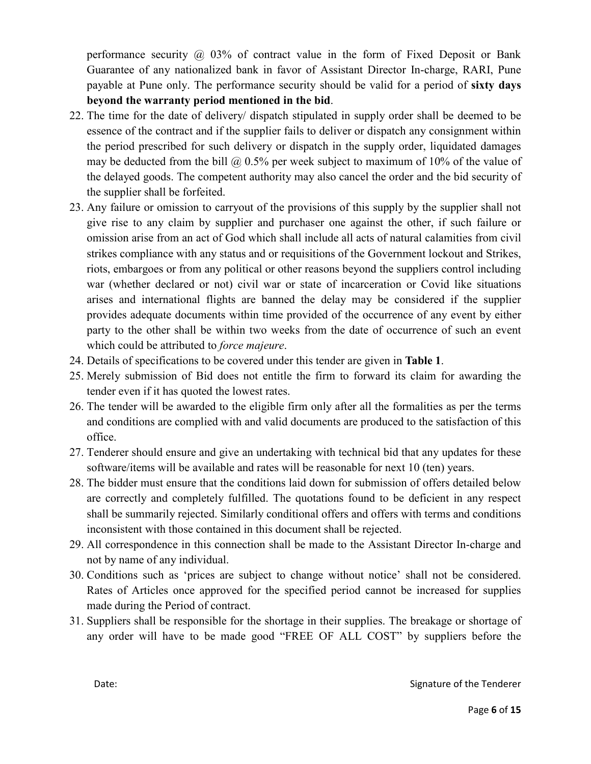performance security  $\omega$  03% of contract value in the form of Fixed Deposit or Bank Guarantee of any nationalized bank in favor of Assistant Director In-charge, RARI, Pune payable at Pune only. The performance security should be valid for a period of **sixty days beyond the warranty period mentioned in the bid**.

- 22. The time for the date of delivery/ dispatch stipulated in supply order shall be deemed to be essence of the contract and if the supplier fails to deliver or dispatch any consignment within the period prescribed for such delivery or dispatch in the supply order, liquidated damages may be deducted from the bill  $\omega$  0.5% per week subject to maximum of 10% of the value of the delayed goods. The competent authority may also cancel the order and the bid security of the supplier shall be forfeited.
- 23. Any failure or omission to carryout of the provisions of this supply by the supplier shall not give rise to any claim by supplier and purchaser one against the other, if such failure or omission arise from an act of God which shall include all acts of natural calamities from civil strikes compliance with any status and or requisitions of the Government lockout and Strikes, riots, embargoes or from any political or other reasons beyond the suppliers control including war (whether declared or not) civil war or state of incarceration or Covid like situations arises and international flights are banned the delay may be considered if the supplier provides adequate documents within time provided of the occurrence of any event by either party to the other shall be within two weeks from the date of occurrence of such an event which could be attributed to *force majeure*.
- 24. Details of specifications to be covered under this tender are given in **Table 1**.
- 25. Merely submission of Bid does not entitle the firm to forward its claim for awarding the tender even if it has quoted the lowest rates.
- 26. The tender will be awarded to the eligible firm only after all the formalities as per the terms and conditions are complied with and valid documents are produced to the satisfaction of this office.
- 27. Tenderer should ensure and give an undertaking with technical bid that any updates for these software/items will be available and rates will be reasonable for next 10 (ten) years.
- 28. The bidder must ensure that the conditions laid down for submission of offers detailed below are correctly and completely fulfilled. The quotations found to be deficient in any respect shall be summarily rejected. Similarly conditional offers and offers with terms and conditions inconsistent with those contained in this document shall be rejected.
- 29. All correspondence in this connection shall be made to the Assistant Director In-charge and not by name of any individual.
- 30. Conditions such as 'prices are subject to change without notice' shall not be considered. Rates of Articles once approved for the specified period cannot be increased for supplies made during the Period of contract.
- 31. Suppliers shall be responsible for the shortage in their supplies. The breakage or shortage of any order will have to be made good "FREE OF ALL COST" by suppliers before the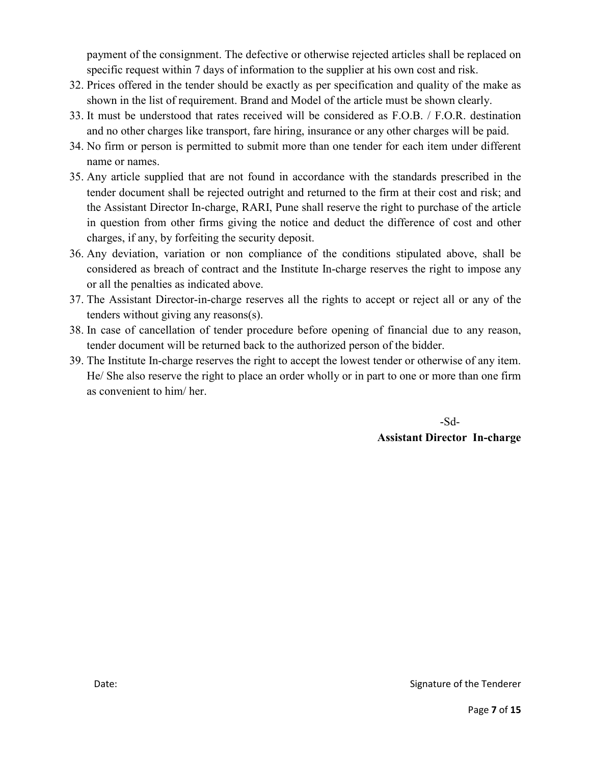payment of the consignment. The defective or otherwise rejected articles shall be replaced on specific request within 7 days of information to the supplier at his own cost and risk.

- 32. Prices offered in the tender should be exactly as per specification and quality of the make as shown in the list of requirement. Brand and Model of the article must be shown clearly.
- 33. It must be understood that rates received will be considered as F.O.B. / F.O.R. destination and no other charges like transport, fare hiring, insurance or any other charges will be paid.
- 34. No firm or person is permitted to submit more than one tender for each item under different name or names.
- 35. Any article supplied that are not found in accordance with the standards prescribed in the tender document shall be rejected outright and returned to the firm at their cost and risk; and the Assistant Director In-charge, RARI, Pune shall reserve the right to purchase of the article in question from other firms giving the notice and deduct the difference of cost and other charges, if any, by forfeiting the security deposit.
- 36. Any deviation, variation or non compliance of the conditions stipulated above, shall be considered as breach of contract and the Institute In-charge reserves the right to impose any or all the penalties as indicated above.
- 37. The Assistant Director-in-charge reserves all the rights to accept or reject all or any of the tenders without giving any reasons(s).
- 38. In case of cancellation of tender procedure before opening of financial due to any reason, tender document will be returned back to the authorized person of the bidder.
- 39. The Institute In-charge reserves the right to accept the lowest tender or otherwise of any item. He/ She also reserve the right to place an order wholly or in part to one or more than one firm as convenient to him/ her.

 -Sd-**Assistant Director In-charge**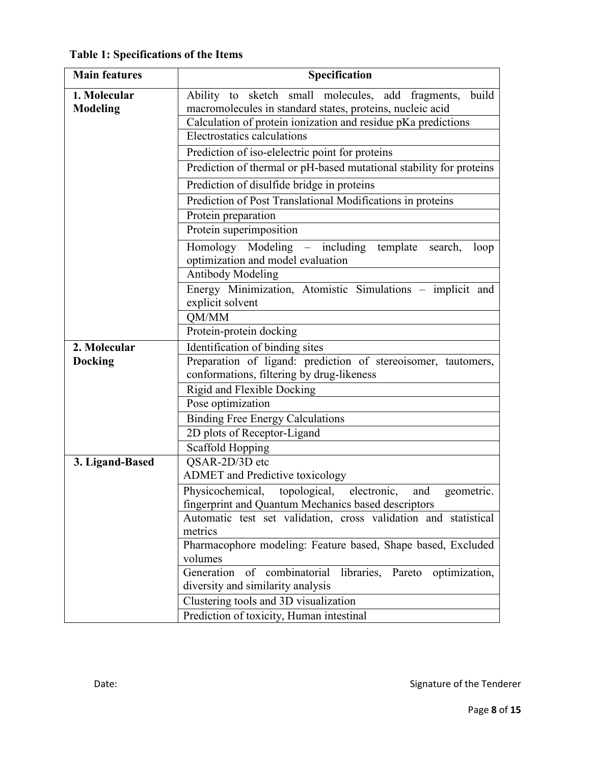**Table 1: Specifications of the Items** 

| <b>Main features</b>     | Specification                                                                                                            |  |  |  |
|--------------------------|--------------------------------------------------------------------------------------------------------------------------|--|--|--|
| 1. Molecular<br>Modeling | Ability to sketch small molecules, add fragments,<br>build<br>macromolecules in standard states, proteins, nucleic acid  |  |  |  |
|                          | Calculation of protein ionization and residue pKa predictions                                                            |  |  |  |
|                          | Electrostatics calculations                                                                                              |  |  |  |
|                          | Prediction of iso-elelectric point for proteins                                                                          |  |  |  |
|                          | Prediction of thermal or pH-based mutational stability for proteins                                                      |  |  |  |
|                          | Prediction of disulfide bridge in proteins                                                                               |  |  |  |
|                          | Prediction of Post Translational Modifications in proteins                                                               |  |  |  |
|                          | Protein preparation                                                                                                      |  |  |  |
|                          | Protein superimposition                                                                                                  |  |  |  |
|                          | Homology Modeling – including template<br>search,<br>loop<br>optimization and model evaluation                           |  |  |  |
|                          | <b>Antibody Modeling</b>                                                                                                 |  |  |  |
|                          | Energy Minimization, Atomistic Simulations – implicit and<br>explicit solvent                                            |  |  |  |
|                          | QM/MM                                                                                                                    |  |  |  |
|                          | Protein-protein docking                                                                                                  |  |  |  |
| 2. Molecular             | Identification of binding sites                                                                                          |  |  |  |
| <b>Docking</b>           | Preparation of ligand: prediction of stereoisomer, tautomers,                                                            |  |  |  |
|                          | conformations, filtering by drug-likeness                                                                                |  |  |  |
|                          | Rigid and Flexible Docking                                                                                               |  |  |  |
|                          | Pose optimization                                                                                                        |  |  |  |
|                          | <b>Binding Free Energy Calculations</b>                                                                                  |  |  |  |
|                          | 2D plots of Receptor-Ligand                                                                                              |  |  |  |
|                          | Scaffold Hopping                                                                                                         |  |  |  |
| 3. Ligand-Based          | QSAR-2D/3D etc                                                                                                           |  |  |  |
|                          | <b>ADMET</b> and Predictive toxicology                                                                                   |  |  |  |
|                          | Physicochemical, topological,<br>electronic,<br>geometric.<br>and<br>fingerprint and Quantum Mechanics based descriptors |  |  |  |
|                          | Automatic test set validation, cross validation and statistical                                                          |  |  |  |
|                          | metrics                                                                                                                  |  |  |  |
|                          | Pharmacophore modeling: Feature based, Shape based, Excluded                                                             |  |  |  |
|                          | volumes<br>Generation<br>of<br>combinatorial<br>libraries,<br>Pareto<br>optimization,                                    |  |  |  |
|                          | diversity and similarity analysis                                                                                        |  |  |  |
|                          | Clustering tools and 3D visualization                                                                                    |  |  |  |
|                          | Prediction of toxicity, Human intestinal                                                                                 |  |  |  |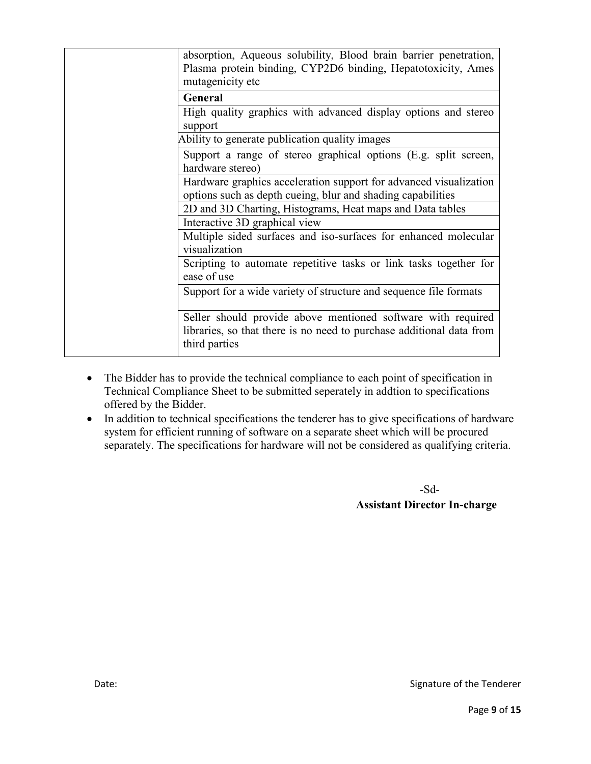| absorption, Aqueous solubility, Blood brain barrier penetration,<br>Plasma protein binding, CYP2D6 binding, Hepatotoxicity, Ames<br>mutagenicity etc  |
|-------------------------------------------------------------------------------------------------------------------------------------------------------|
| General                                                                                                                                               |
| High quality graphics with advanced display options and stereo<br>support                                                                             |
| Ability to generate publication quality images                                                                                                        |
| Support a range of stereo graphical options (E.g. split screen,<br>hardware stereo)                                                                   |
| Hardware graphics acceleration support for advanced visualization<br>options such as depth cueing, blur and shading capabilities                      |
| 2D and 3D Charting, Histograms, Heat maps and Data tables                                                                                             |
| Interactive 3D graphical view                                                                                                                         |
| Multiple sided surfaces and iso-surfaces for enhanced molecular<br>visualization                                                                      |
| Scripting to automate repetitive tasks or link tasks together for<br>ease of use                                                                      |
| Support for a wide variety of structure and sequence file formats                                                                                     |
| Seller should provide above mentioned software with required<br>libraries, so that there is no need to purchase additional data from<br>third parties |

- The Bidder has to provide the technical compliance to each point of specification in Technical Compliance Sheet to be submitted seperately in addtion to specifications offered by the Bidder.
- In addition to technical specifications the tenderer has to give specifications of hardware system for efficient running of software on a separate sheet which will be procured separately. The specifications for hardware will not be considered as qualifying criteria.

 -Sd-  **Assistant Director In-charge**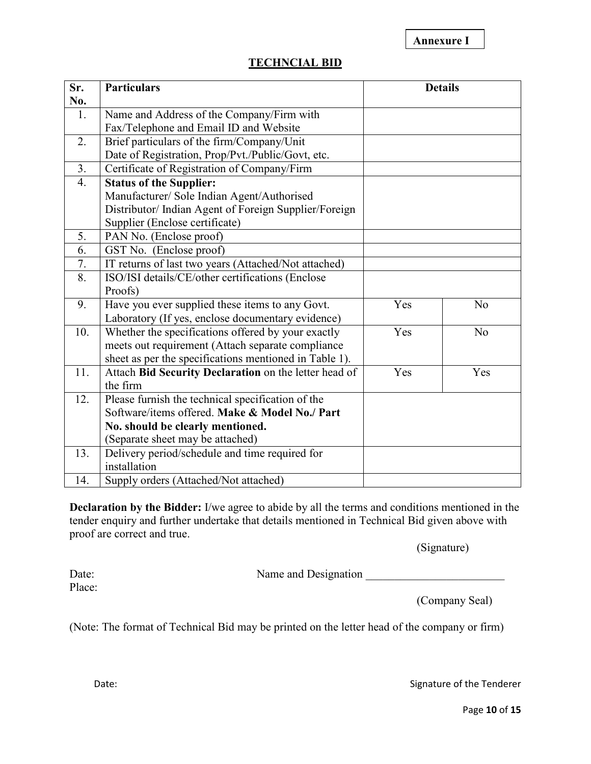**Annexure I**

| <b>TECHNCIAL BID</b> |  |
|----------------------|--|
|                      |  |

| Sr.              | <b>Particulars</b>                                     | <b>Details</b> |                |
|------------------|--------------------------------------------------------|----------------|----------------|
| No.              |                                                        |                |                |
| 1.               | Name and Address of the Company/Firm with              |                |                |
|                  | Fax/Telephone and Email ID and Website                 |                |                |
| 2.               | Brief particulars of the firm/Company/Unit             |                |                |
|                  | Date of Registration, Prop/Pvt./Public/Govt, etc.      |                |                |
| 3.               | Certificate of Registration of Company/Firm            |                |                |
| $\overline{4}$ . | <b>Status of the Supplier:</b>                         |                |                |
|                  | Manufacturer/ Sole Indian Agent/Authorised             |                |                |
|                  | Distributor/Indian Agent of Foreign Supplier/Foreign   |                |                |
|                  | Supplier (Enclose certificate)                         |                |                |
| 5.               | PAN No. (Enclose proof)                                |                |                |
| 6.               | GST No. (Enclose proof)                                |                |                |
| 7.               | IT returns of last two years (Attached/Not attached)   |                |                |
| 8.               | ISO/ISI details/CE/other certifications (Enclose       |                |                |
|                  | Proofs)                                                |                |                |
| 9.               | Have you ever supplied these items to any Govt.        | Yes            | N <sub>0</sub> |
|                  | Laboratory (If yes, enclose documentary evidence)      |                |                |
| 10.              | Whether the specifications offered by your exactly     | Yes            | N <sub>o</sub> |
|                  | meets out requirement (Attach separate compliance      |                |                |
|                  | sheet as per the specifications mentioned in Table 1). |                |                |
| 11.              | Attach Bid Security Declaration on the letter head of  | Yes            | Yes            |
|                  | the firm                                               |                |                |
| 12.              | Please furnish the technical specification of the      |                |                |
|                  | Software/items offered. Make & Model No./ Part         |                |                |
|                  | No. should be clearly mentioned.                       |                |                |
|                  | (Separate sheet may be attached)                       |                |                |
| 13.              | Delivery period/schedule and time required for         |                |                |
|                  | installation                                           |                |                |
| 14.              | Supply orders (Attached/Not attached)                  |                |                |

**Declaration by the Bidder:** I/we agree to abide by all the terms and conditions mentioned in the tender enquiry and further undertake that details mentioned in Technical Bid given above with proof are correct and true.

(Signature)

Place:

Date: Name and Designation \_\_\_\_\_\_\_\_\_\_\_\_\_\_\_\_\_\_\_\_\_\_\_\_

(Company Seal)

(Note: The format of Technical Bid may be printed on the letter head of the company or firm)

Date: Case of the Tenderer and Signature of the Tenderer and Signature of the Tenderer

Page **10** of **15**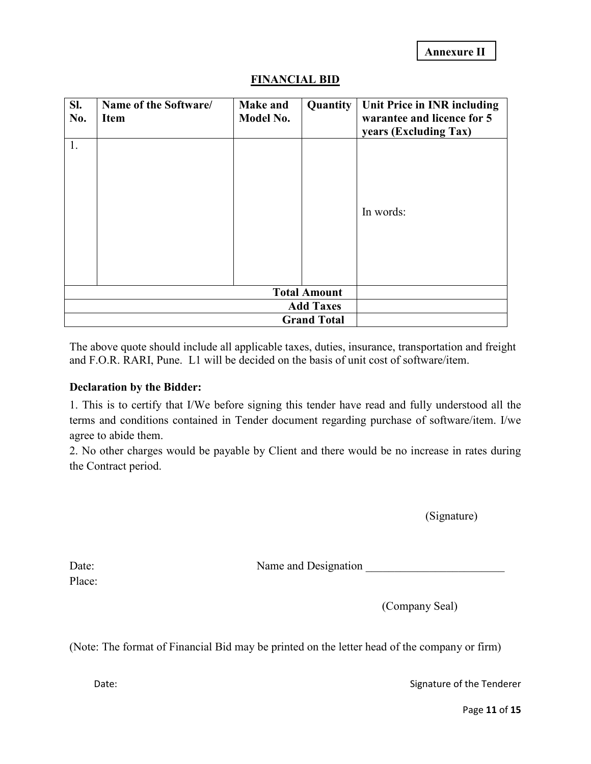| SI.<br>No. | Name of the Software/<br>Item | <b>Make and</b><br>Model No. | Quantity            | Unit Price in INR including<br>warantee and licence for 5<br>years (Excluding Tax) |
|------------|-------------------------------|------------------------------|---------------------|------------------------------------------------------------------------------------|
| 1.         |                               |                              |                     | In words:                                                                          |
|            |                               |                              | <b>Total Amount</b> |                                                                                    |
|            | <b>Add Taxes</b>              |                              |                     |                                                                                    |
|            |                               |                              | <b>Grand Total</b>  |                                                                                    |

### **FINANCIAL BID**

The above quote should include all applicable taxes, duties, insurance, transportation and freight and F.O.R. RARI, Pune. L1 will be decided on the basis of unit cost of software/item.

#### **Declaration by the Bidder:**

1. This is to certify that I/We before signing this tender have read and fully understood all the terms and conditions contained in Tender document regarding purchase of software/item. I/we agree to abide them.

2. No other charges would be payable by Client and there would be no increase in rates during the Contract period.

(Signature)

Date: Name and Designation \_\_\_\_\_\_\_\_\_\_\_\_\_\_\_\_\_\_\_\_\_\_\_\_

Place:

(Company Seal)

(Note: The format of Financial Bid may be printed on the letter head of the company or firm)

Date: Case of the Tenderer and Signature of the Tenderer and Signature of the Tenderer

Page **11** of **15**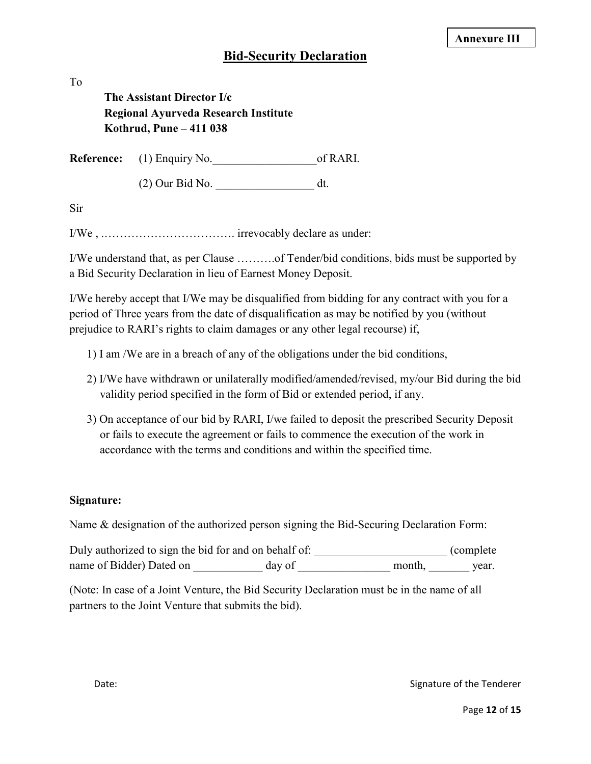### **Bid-Security Declaration**

To

## **The Assistant Director I/c Regional Ayurveda Research Institute Kothrud, Pune – 411 038**

**Reference:** (1) Enquiry No.  $\qquad \qquad$  of RARI.

(2) Our Bid No. \_\_\_\_\_\_\_\_\_\_\_\_\_\_\_\_\_ dt.

Sir

I/We , .……………………………. irrevocably declare as under:

I/We understand that, as per Clause ……….of Tender/bid conditions, bids must be supported by a Bid Security Declaration in lieu of Earnest Money Deposit.

I/We hereby accept that I/We may be disqualified from bidding for any contract with you for a period of Three years from the date of disqualification as may be notified by you (without prejudice to RARI's rights to claim damages or any other legal recourse) if,

- 1) I am /We are in a breach of any of the obligations under the bid conditions,
- 2) I/We have withdrawn or unilaterally modified/amended/revised, my/our Bid during the bid validity period specified in the form of Bid or extended period, if any.
- 3) On acceptance of our bid by RARI, I/we failed to deposit the prescribed Security Deposit or fails to execute the agreement or fails to commence the execution of the work in accordance with the terms and conditions and within the specified time.

### **Signature:**

Name & designation of the authorized person signing the Bid-Securing Declaration Form:

Duly authorized to sign the bid for and on behalf of: \_\_\_\_\_\_\_\_\_\_\_\_\_\_\_\_\_\_\_\_\_\_\_\_\_\_ (complete name of Bidder) Dated on \_\_\_\_\_\_\_\_\_\_\_\_\_\_ day of \_\_\_\_\_\_\_\_\_\_\_\_\_\_\_\_\_\_ month, \_\_\_\_\_\_\_\_\_ year.

(Note: In case of a Joint Venture, the Bid Security Declaration must be in the name of all partners to the Joint Venture that submits the bid).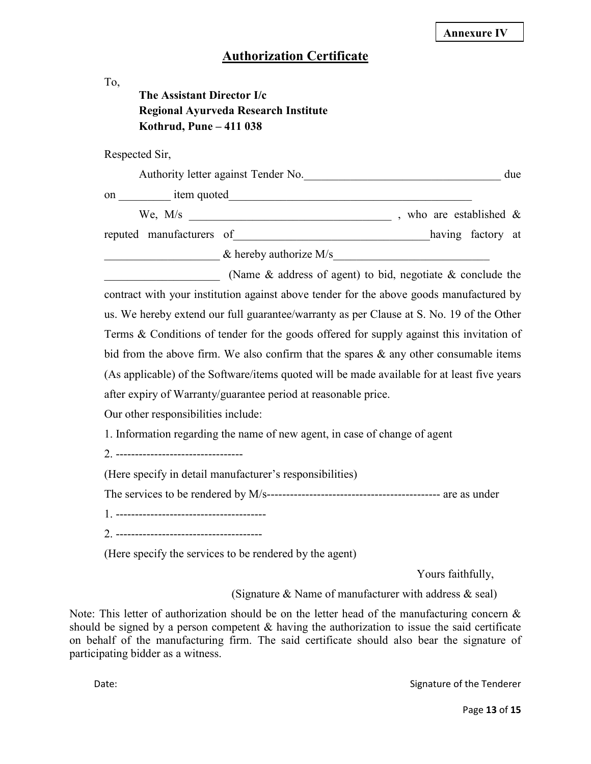## **Authorization Certificate**

| To,<br>The Assistant Director I/c<br>Kothrud, Pune - 411 038                | Regional Ayurveda Research Institute                                                                                                         |                                                                                                                                                                                                                                                                                                                                                                                                                                                                            |
|-----------------------------------------------------------------------------|----------------------------------------------------------------------------------------------------------------------------------------------|----------------------------------------------------------------------------------------------------------------------------------------------------------------------------------------------------------------------------------------------------------------------------------------------------------------------------------------------------------------------------------------------------------------------------------------------------------------------------|
| Respected Sir,                                                              |                                                                                                                                              |                                                                                                                                                                                                                                                                                                                                                                                                                                                                            |
|                                                                             |                                                                                                                                              |                                                                                                                                                                                                                                                                                                                                                                                                                                                                            |
|                                                                             |                                                                                                                                              |                                                                                                                                                                                                                                                                                                                                                                                                                                                                            |
|                                                                             |                                                                                                                                              |                                                                                                                                                                                                                                                                                                                                                                                                                                                                            |
|                                                                             |                                                                                                                                              | reputed manufacturers of having factory at                                                                                                                                                                                                                                                                                                                                                                                                                                 |
|                                                                             |                                                                                                                                              | $\&$ hereby authorize M/s                                                                                                                                                                                                                                                                                                                                                                                                                                                  |
| Our other responsibilities include:<br>2. --------------------------------- | after expiry of Warranty/guarantee period at reasonable price.<br>1. Information regarding the name of new agent, in case of change of agent | contract with your institution against above tender for the above goods manufactured by<br>us. We hereby extend our full guarantee/warranty as per Clause at S. No. 19 of the Other<br>Terms & Conditions of tender for the goods offered for supply against this invitation of<br>bid from the above firm. We also confirm that the spares $\&$ any other consumable items<br>(As applicable) of the Software/items quoted will be made available for at least five years |
|                                                                             | (Here specify in detail manufacturer's responsibilities)                                                                                     |                                                                                                                                                                                                                                                                                                                                                                                                                                                                            |
|                                                                             |                                                                                                                                              |                                                                                                                                                                                                                                                                                                                                                                                                                                                                            |
|                                                                             | (Here specify the services to be rendered by the agent)                                                                                      |                                                                                                                                                                                                                                                                                                                                                                                                                                                                            |
|                                                                             |                                                                                                                                              | Yours faithfully,                                                                                                                                                                                                                                                                                                                                                                                                                                                          |
|                                                                             |                                                                                                                                              | (Signature & Name of manufacturer with address $\&$ seal)                                                                                                                                                                                                                                                                                                                                                                                                                  |
|                                                                             |                                                                                                                                              | Note: This letter of authorization should be on the letter head of the manufacturing concern $\&$<br>should be signed by a person competent $\&$ having the authorization to issue the said certificate                                                                                                                                                                                                                                                                    |

should be signed by a person competent  $\&$  having the authorization to issue the said certificate on behalf of the manufacturing firm. The said certificate should also bear the signature of participating bidder as a witness.

Date: Case of the Tenderer Case of the Tenderer Case of the Tenderer Case of the Tenderer Case of the Tenderer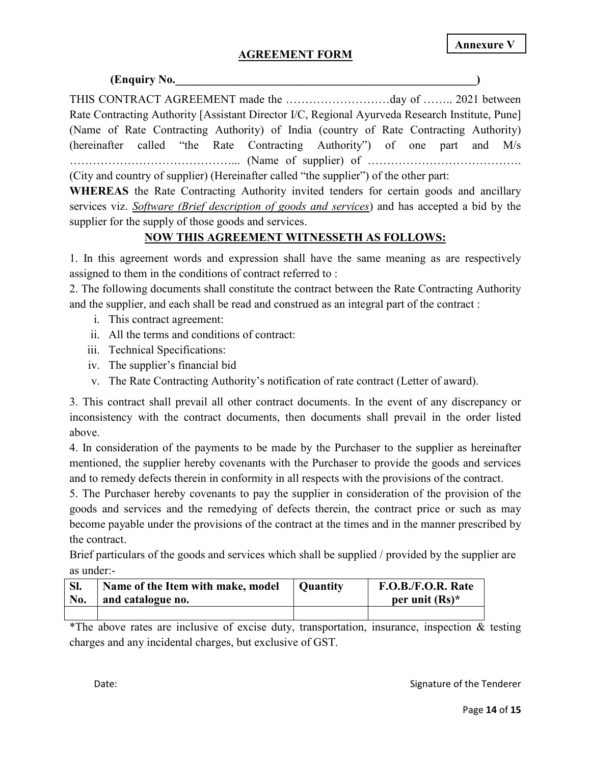#### **AGREEMENT FORM**

## **(Enquiry No.** ) THIS CONTRACT AGREEMENT made the ………………………day of …….. 2021 between Rate Contracting Authority [Assistant Director I/C, Regional Ayurveda Research Institute, Pune] (Name of Rate Contracting Authority) of India (country of Rate Contracting Authority) (hereinafter called "the Rate Contracting Authority") of one part and M/s ……………………………………... (Name of supplier) of …………………………………. (City and country of supplier) (Hereinafter called "the supplier") of the other part:

**WHEREAS** the Rate Contracting Authority invited tenders for certain goods and ancillary services viz. *Software (Brief description of goods and services*) and has accepted a bid by the supplier for the supply of those goods and services.

### **NOW THIS AGREEMENT WITNESSETH AS FOLLOWS:**

1. In this agreement words and expression shall have the same meaning as are respectively assigned to them in the conditions of contract referred to :

2. The following documents shall constitute the contract between the Rate Contracting Authority and the supplier, and each shall be read and construed as an integral part of the contract :

- i. This contract agreement:
- ii. All the terms and conditions of contract:
- iii. Technical Specifications:
- iv. The supplier's financial bid
- v. The Rate Contracting Authority's notification of rate contract (Letter of award).

3. This contract shall prevail all other contract documents. In the event of any discrepancy or inconsistency with the contract documents, then documents shall prevail in the order listed above.

4. In consideration of the payments to be made by the Purchaser to the supplier as hereinafter mentioned, the supplier hereby covenants with the Purchaser to provide the goods and services and to remedy defects therein in conformity in all respects with the provisions of the contract.

5. The Purchaser hereby covenants to pay the supplier in consideration of the provision of the goods and services and the remedying of defects therein, the contract price or such as may become payable under the provisions of the contract at the times and in the manner prescribed by the contract.

Brief particulars of the goods and services which shall be supplied / provided by the supplier are as under:-

|     | Name of the Item with make, model | Ouantitv | F.O.B./F.O.R. Rate |
|-----|-----------------------------------|----------|--------------------|
| No. | and catalogue no.                 |          | per unit $(Rs)^*$  |
|     |                                   |          |                    |

\*The above rates are inclusive of excise duty, transportation, insurance, inspection & testing charges and any incidental charges, but exclusive of GST.